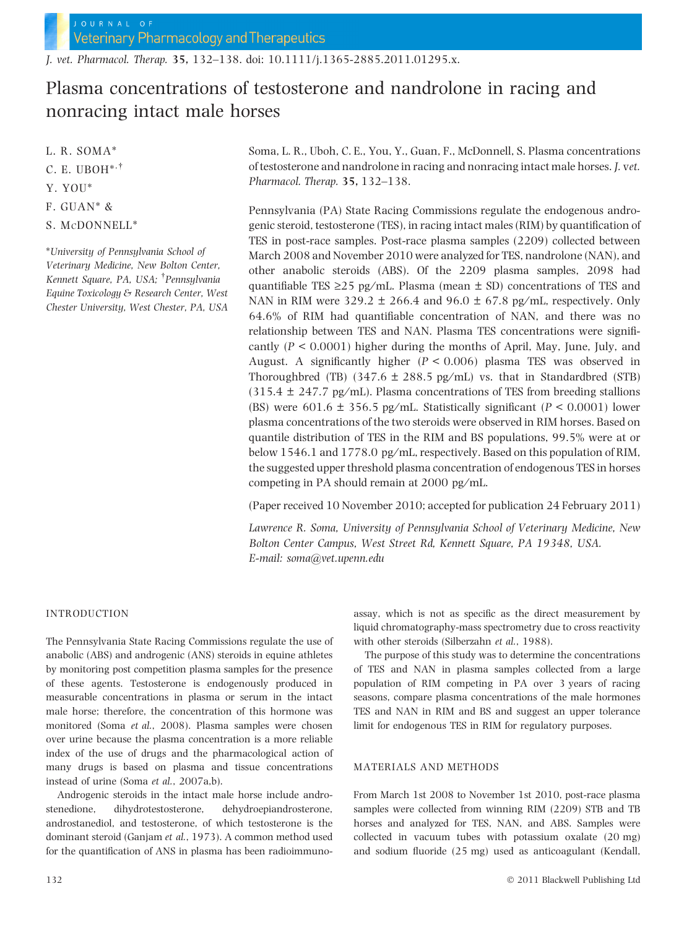J. vet. Pharmacol. Therap. 35, 132–138. doi: 10.1111/j.1365-2885.2011.01295.x.

# Plasma concentrations of testosterone and nandrolone in racing and nonracing intact male horses

L. R. SOMA\*

- C. E. UBOH $^{*,\dagger}$
- Y. YOU\*
- F. GUAN\* &
- S. MCDONNELL\*

\*University of Pennsylvania School of Veterinary Medicine, New Bolton Center, Kennett Square, PA, USA; <sup>†</sup>Pennsylvania Equine Toxicology & Research Center, West Chester University, West Chester, PA, USA Soma, L. R., Uboh, C. E., You, Y., Guan, F., McDonnell, S. Plasma concentrations of testosterone and nandrolone in racing and nonracing intact male horses. J. vet. Pharmacol. Therap. 35, 132–138.

Pennsylvania (PA) State Racing Commissions regulate the endogenous androgenic steroid, testosterone (TES), in racing intact males (RIM) by quantification of TES in post-race samples. Post-race plasma samples (2209) collected between March 2008 and November 2010 were analyzed for TES, nandrolone (NAN), and other anabolic steroids (ABS). Of the 2209 plasma samples, 2098 had quantifiable TES  $\geq$  25 pg/mL. Plasma (mean  $\pm$  SD) concentrations of TES and NAN in RIM were 329.2  $\pm$  266.4 and 96.0  $\pm$  67.8 pg/mL, respectively. Only 64.6% of RIM had quantifiable concentration of NAN, and there was no relationship between TES and NAN. Plasma TES concentrations were significantly ( $P < 0.0001$ ) higher during the months of April, May, June, July, and August. A significantly higher  $(P < 0.006)$  plasma TES was observed in Thoroughbred (TB)  $(347.6 \pm 288.5 \text{ pg/mL})$  vs. that in Standardbred (STB)  $(315.4 \pm 247.7 \text{ pg/mL})$ . Plasma concentrations of TES from breeding stallions (BS) were 601.6  $\pm$  356.5 pg/mL. Statistically significant (P < 0.0001) lower plasma concentrations of the two steroids were observed in RIM horses. Based on quantile distribution of TES in the RIM and BS populations, 99.5% were at or below 1546.1 and 1778.0 pg/mL, respectively. Based on this population of RIM, the suggested upper threshold plasma concentration of endogenous TES in horses competing in PA should remain at  $2000$  pg/mL.

(Paper received 10 November 2010; accepted for publication 24 February 2011)

Lawrence R. Soma, University of Pennsylvania School of Veterinary Medicine, New Bolton Center Campus, West Street Rd, Kennett Square, PA 19348, USA. E-mail: soma@vet.upenn.edu

# INTRODUCTION

The Pennsylvania State Racing Commissions regulate the use of anabolic (ABS) and androgenic (ANS) steroids in equine athletes by monitoring post competition plasma samples for the presence of these agents. Testosterone is endogenously produced in measurable concentrations in plasma or serum in the intact male horse; therefore, the concentration of this hormone was monitored (Soma et al., 2008). Plasma samples were chosen over urine because the plasma concentration is a more reliable index of the use of drugs and the pharmacological action of many drugs is based on plasma and tissue concentrations instead of urine (Soma et al., 2007a,b).

Androgenic steroids in the intact male horse include androstenedione, dihydrotestosterone, dehydroepiandrosterone, androstanediol, and testosterone, of which testosterone is the dominant steroid (Ganjam et al., 1973). A common method used for the quantification of ANS in plasma has been radioimmunoassay, which is not as specific as the direct measurement by liquid chromatography-mass spectrometry due to cross reactivity with other steroids (Silberzahn et al., 1988).

The purpose of this study was to determine the concentrations of TES and NAN in plasma samples collected from a large population of RIM competing in PA over 3 years of racing seasons, compare plasma concentrations of the male hormones TES and NAN in RIM and BS and suggest an upper tolerance limit for endogenous TES in RIM for regulatory purposes.

## MATERIALS AND METHODS

From March 1st 2008 to November 1st 2010, post-race plasma samples were collected from winning RIM (2209) STB and TB horses and analyzed for TES, NAN, and ABS. Samples were collected in vacuum tubes with potassium oxalate (20 mg) and sodium fluoride (25 mg) used as anticoagulant (Kendall,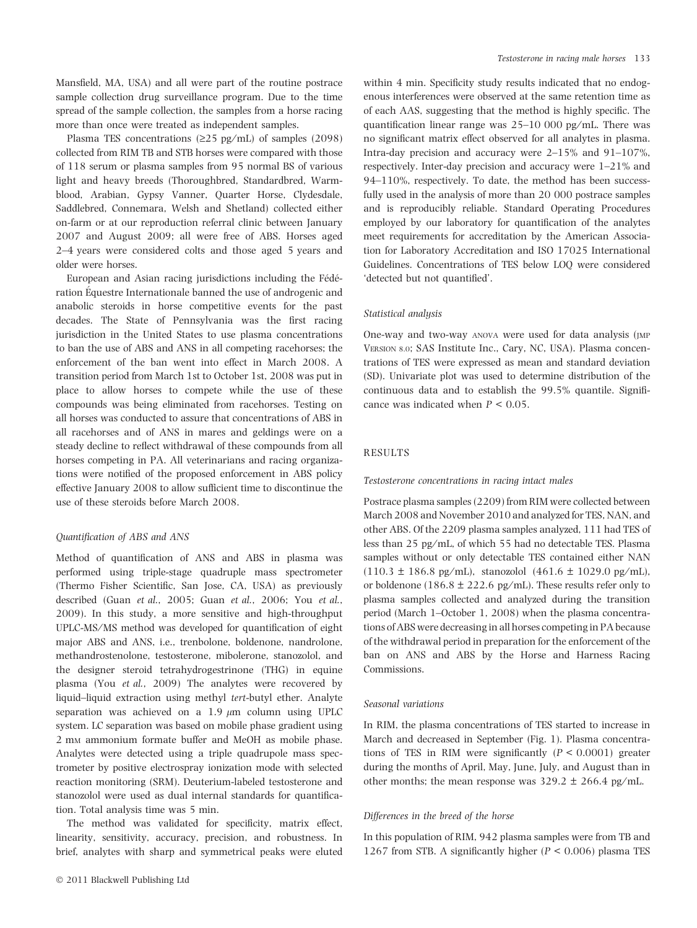Mansfield, MA, USA) and all were part of the routine postrace sample collection drug surveillance program. Due to the time spread of the sample collection, the samples from a horse racing more than once were treated as independent samples.

Plasma TES concentrations ( $\geq$ 25 pg/mL) of samples (2098) collected from RIM TB and STB horses were compared with those of 118 serum or plasma samples from 95 normal BS of various light and heavy breeds (Thoroughbred, Standardbred, Warmblood, Arabian, Gypsy Vanner, Quarter Horse, Clydesdale, Saddlebred, Connemara, Welsh and Shetland) collected either on-farm or at our reproduction referral clinic between January 2007 and August 2009; all were free of ABS. Horses aged 2–4 years were considered colts and those aged 5 years and older were horses.

European and Asian racing jurisdictions including the Fédération Équestre Internationale banned the use of androgenic and anabolic steroids in horse competitive events for the past decades. The State of Pennsylvania was the first racing jurisdiction in the United States to use plasma concentrations to ban the use of ABS and ANS in all competing racehorses; the enforcement of the ban went into effect in March 2008. A transition period from March 1st to October 1st, 2008 was put in place to allow horses to compete while the use of these compounds was being eliminated from racehorses. Testing on all horses was conducted to assure that concentrations of ABS in all racehorses and of ANS in mares and geldings were on a steady decline to reflect withdrawal of these compounds from all horses competing in PA. All veterinarians and racing organizations were notified of the proposed enforcement in ABS policy effective January 2008 to allow sufficient time to discontinue the use of these steroids before March 2008.

## Quantification of ABS and ANS

Method of quantification of ANS and ABS in plasma was performed using triple-stage quadruple mass spectrometer (Thermo Fisher Scientific, San Jose, CA, USA) as previously described (Guan et al., 2005; Guan et al., 2006; You et al., 2009). In this study, a more sensitive and high-throughput UPLC-MS/MS method was developed for quantification of eight major ABS and ANS, i.e., trenbolone, boldenone, nandrolone, methandrostenolone, testosterone, mibolerone, stanozolol, and the designer steroid tetrahydrogestrinone (THG) in equine plasma (You et al., 2009) The analytes were recovered by liquid–liquid extraction using methyl tert-butyl ether. Analyte separation was achieved on a 1.9  $\mu$ m column using UPLC system. LC separation was based on mobile phase gradient using 2 mM ammonium formate buffer and MeOH as mobile phase. Analytes were detected using a triple quadrupole mass spectrometer by positive electrospray ionization mode with selected reaction monitoring (SRM). Deuterium-labeled testosterone and stanozolol were used as dual internal standards for quantification. Total analysis time was 5 min.

The method was validated for specificity, matrix effect, linearity, sensitivity, accuracy, precision, and robustness. In brief, analytes with sharp and symmetrical peaks were eluted within 4 min. Specificity study results indicated that no endogenous interferences were observed at the same retention time as of each AAS, suggesting that the method is highly specific. The quantification linear range was  $25-10000$  pg/mL. There was no significant matrix effect observed for all analytes in plasma. Intra-day precision and accuracy were 2–15% and 91–107%, respectively. Inter-day precision and accuracy were 1–21% and 94–110%, respectively. To date, the method has been successfully used in the analysis of more than 20 000 postrace samples and is reproducibly reliable. Standard Operating Procedures employed by our laboratory for quantification of the analytes meet requirements for accreditation by the American Association for Laboratory Accreditation and ISO 17025 International Guidelines. Concentrations of TES below LOQ were considered 'detected but not quantified'.

# Statistical analysis

One-way and two-way ANOVA were used for data analysis (JMP VERSION 8.0; SAS Institute Inc., Cary, NC, USA). Plasma concentrations of TES were expressed as mean and standard deviation (SD). Univariate plot was used to determine distribution of the continuous data and to establish the 99.5% quantile. Significance was indicated when  $P < 0.05$ .

## RESULTS

#### Testosterone concentrations in racing intact males

Postrace plasma samples (2209) from RIM were collected between March 2008 and November 2010 and analyzed for TES, NAN, and other ABS. Of the 2209 plasma samples analyzed, 111 had TES of less than 25 pg/mL, of which 55 had no detectable TES. Plasma samples without or only detectable TES contained either NAN  $(110.3 \pm 186.8 \text{ pg/mL})$ , stanozolol  $(461.6 \pm 1029.0 \text{ pg/mL})$ , or boldenone (186.8  $\pm$  222.6 pg/mL). These results refer only to plasma samples collected and analyzed during the transition period (March 1–October 1, 2008) when the plasma concentrations of ABS were decreasing in all horses competing in PA because of the withdrawal period in preparation for the enforcement of the ban on ANS and ABS by the Horse and Harness Racing Commissions.

#### Seasonal variations

In RIM, the plasma concentrations of TES started to increase in March and decreased in September (Fig. 1). Plasma concentrations of TES in RIM were significantly  $(P < 0.0001)$  greater during the months of April, May, June, July, and August than in other months; the mean response was  $329.2 \pm 266.4$  pg/mL.

#### Differences in the breed of the horse

In this population of RIM, 942 plasma samples were from TB and 1267 from STB. A significantly higher ( $P < 0.006$ ) plasma TES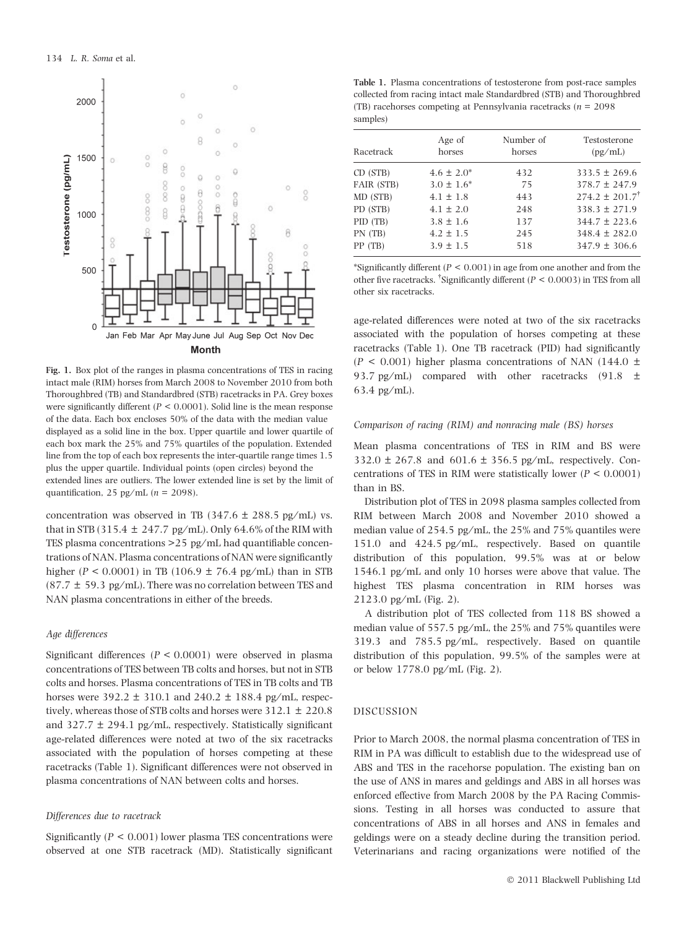

Fig. 1. Box plot of the ranges in plasma concentrations of TES in racing intact male (RIM) horses from March 2008 to November 2010 from both Thoroughbred (TB) and Standardbred (STB) racetracks in PA. Grey boxes were significantly different ( $P < 0.0001$ ). Solid line is the mean response of the data. Each box encloses 50% of the data with the median value displayed as a solid line in the box. Upper quartile and lower quartile of each box mark the 25% and 75% quartiles of the population. Extended line from the top of each box represents the inter-quartile range times 1.5 plus the upper quartile. Individual points (open circles) beyond the extended lines are outliers. The lower extended line is set by the limit of quantification, 25 pg/mL ( $n = 2098$ ).

concentration was observed in TB (347.6  $\pm$  288.5 pg/mL) vs. that in STB (315.4  $\pm$  247.7 pg/mL). Only 64.6% of the RIM with TES plasma concentrations  $>$  25 pg/mL had quantifiable concentrations of NAN. Plasma concentrations of NAN were significantly higher ( $P < 0.0001$ ) in TB (106.9  $\pm$  76.4 pg/mL) than in STB (87.7  $\pm$  59.3 pg/mL). There was no correlation between TES and NAN plasma concentrations in either of the breeds.

### Age differences

Significant differences ( $P < 0.0001$ ) were observed in plasma concentrations of TES between TB colts and horses, but not in STB colts and horses. Plasma concentrations of TES in TB colts and TB horses were  $392.2 \pm 310.1$  and  $240.2 \pm 188.4$  pg/mL, respectively, whereas those of STB colts and horses were  $312.1 \pm 220.8$ and  $327.7 \pm 294.1$  pg/mL, respectively. Statistically significant age-related differences were noted at two of the six racetracks associated with the population of horses competing at these racetracks (Table 1). Significant differences were not observed in plasma concentrations of NAN between colts and horses.

#### Differences due to racetrack

Significantly ( $P < 0.001$ ) lower plasma TES concentrations were observed at one STB racetrack (MD). Statistically significant

Table 1. Plasma concentrations of testosterone from post-race samples collected from racing intact male Standardbred (STB) and Thoroughbred (TB) racehorses competing at Pennsylvania racetracks ( $n = 2098$ ) samples)

| Racetrack  | Age of<br>horses | Number of<br>horses | Testosterone<br>(pg/mL)        |
|------------|------------------|---------------------|--------------------------------|
| CD (STB)   | $4.6 \pm 2.0^*$  | 432                 | $333.5 \pm 269.6$              |
| FAIR (STB) | $3.0 \pm 1.6^*$  | 75                  | $378.7 \pm 247.9$              |
| MD (STB)   | $4.1 \pm 1.8$    | 443                 | $274.2 \pm 201.7$ <sup>†</sup> |
| PD (STB)   | $4.1 \pm 2.0$    | 248                 | $338.3 \pm 271.9$              |
| PID (TB)   | $3.8 \pm 1.6$    | 137                 | $344.7 \pm 223.6$              |
| PN (TB)    | $4.2 \pm 1.5$    | 245                 | $348.4 \pm 282.0$              |
| PP (TB)    | $3.9 \pm 1.5$    | 518                 | $347.9 \pm 306.6$              |

\*Significantly different ( $P < 0.001$ ) in age from one another and from the other five racetracks. <sup>†</sup>Significantly different ( $P < 0.0003$ ) in TES from all other six racetracks.

age-related differences were noted at two of the six racetracks associated with the population of horses competing at these racetracks (Table 1). One TB racetrack (PID) had significantly  $(P < 0.001)$  higher plasma concentrations of NAN (144.0  $\pm$ ) 93.7 pg/mL) compared with other racetracks (91.8  $\pm$  $63.4$  pg/mL).

#### Comparison of racing (RIM) and nonracing male (BS) horses

Mean plasma concentrations of TES in RIM and BS were  $332.0 \pm 267.8$  and  $601.6 \pm 356.5$  pg/mL, respectively. Concentrations of TES in RIM were statistically lower ( $P < 0.0001$ ) than in BS.

Distribution plot of TES in 2098 plasma samples collected from RIM between March 2008 and November 2010 showed a median value of  $254.5$  pg/mL, the  $25\%$  and  $75\%$  quantiles were 151.0 and 424.5 pg/mL, respectively. Based on quantile distribution of this population, 99.5% was at or below 1546.1 pg/mL and only 10 horses were above that value. The highest TES plasma concentration in RIM horses was 2123.0 pg/mL (Fig. 2).

A distribution plot of TES collected from 118 BS showed a median value of  $557.5$  pg/mL, the  $25\%$  and  $75\%$  quantiles were 319.3 and 785.5 pg/mL, respectively. Based on quantile distribution of this population, 99.5% of the samples were at or below 1778.0 pg/mL (Fig. 2).

#### DISCUSSION

Prior to March 2008, the normal plasma concentration of TES in RIM in PA was difficult to establish due to the widespread use of ABS and TES in the racehorse population. The existing ban on the use of ANS in mares and geldings and ABS in all horses was enforced effective from March 2008 by the PA Racing Commissions. Testing in all horses was conducted to assure that concentrations of ABS in all horses and ANS in females and geldings were on a steady decline during the transition period. Veterinarians and racing organizations were notified of the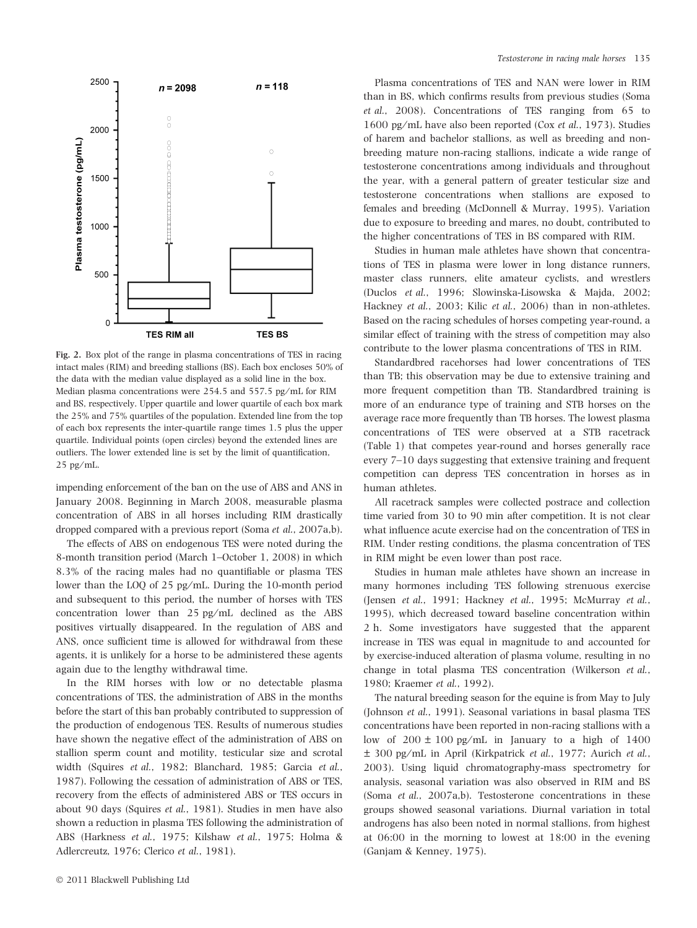

Fig. 2. Box plot of the range in plasma concentrations of TES in racing intact males (RIM) and breeding stallions (BS). Each box encloses 50% of the data with the median value displayed as a solid line in the box. Median plasma concentrations were 254.5 and 557.5 pg/mL for RIM and BS, respectively. Upper quartile and lower quartile of each box mark the 25% and 75% quartiles of the population. Extended line from the top of each box represents the inter-quartile range times 1.5 plus the upper quartile. Individual points (open circles) beyond the extended lines are outliers. The lower extended line is set by the limit of quantification,  $25$  pg/mL.

impending enforcement of the ban on the use of ABS and ANS in January 2008. Beginning in March 2008, measurable plasma concentration of ABS in all horses including RIM drastically dropped compared with a previous report (Soma et al., 2007a,b).

The effects of ABS on endogenous TES were noted during the 8-month transition period (March 1–October 1, 2008) in which 8.3% of the racing males had no quantifiable or plasma TES lower than the LOQ of 25 pg/mL. During the 10-month period and subsequent to this period, the number of horses with TES concentration lower than  $25$  pg/mL declined as the ABS positives virtually disappeared. In the regulation of ABS and ANS, once sufficient time is allowed for withdrawal from these agents, it is unlikely for a horse to be administered these agents again due to the lengthy withdrawal time.

In the RIM horses with low or no detectable plasma concentrations of TES, the administration of ABS in the months before the start of this ban probably contributed to suppression of the production of endogenous TES. Results of numerous studies have shown the negative effect of the administration of ABS on stallion sperm count and motility, testicular size and scrotal width (Squires et al., 1982; Blanchard, 1985; Garcia et al., 1987). Following the cessation of administration of ABS or TES, recovery from the effects of administered ABS or TES occurs in about 90 days (Squires et al., 1981). Studies in men have also shown a reduction in plasma TES following the administration of ABS (Harkness et al., 1975; Kilshaw et al., 1975; Holma & Adlercreutz, 1976; Clerico et al., 1981).

Plasma concentrations of TES and NAN were lower in RIM than in BS, which confirms results from previous studies (Soma et al., 2008). Concentrations of TES ranging from 65 to 1600 pg/mL have also been reported (Cox et al., 1973). Studies of harem and bachelor stallions, as well as breeding and nonbreeding mature non-racing stallions, indicate a wide range of testosterone concentrations among individuals and throughout the year, with a general pattern of greater testicular size and testosterone concentrations when stallions are exposed to females and breeding (McDonnell & Murray, 1995). Variation due to exposure to breeding and mares, no doubt, contributed to the higher concentrations of TES in BS compared with RIM.

Studies in human male athletes have shown that concentrations of TES in plasma were lower in long distance runners, master class runners, elite amateur cyclists, and wrestlers (Duclos et al., 1996; Slowinska-Lisowska & Majda, 2002; Hackney et al., 2003; Kilic et al., 2006) than in non-athletes. Based on the racing schedules of horses competing year-round, a similar effect of training with the stress of competition may also contribute to the lower plasma concentrations of TES in RIM.

Standardbred racehorses had lower concentrations of TES than TB; this observation may be due to extensive training and more frequent competition than TB. Standardbred training is more of an endurance type of training and STB horses on the average race more frequently than TB horses. The lowest plasma concentrations of TES were observed at a STB racetrack (Table 1) that competes year-round and horses generally race every 7–10 days suggesting that extensive training and frequent competition can depress TES concentration in horses as in human athletes.

All racetrack samples were collected postrace and collection time varied from 30 to 90 min after competition. It is not clear what influence acute exercise had on the concentration of TES in RIM. Under resting conditions, the plasma concentration of TES in RIM might be even lower than post race.

Studies in human male athletes have shown an increase in many hormones including TES following strenuous exercise (Jensen et al., 1991; Hackney et al., 1995; McMurray et al., 1995), which decreased toward baseline concentration within 2 h. Some investigators have suggested that the apparent increase in TES was equal in magnitude to and accounted for by exercise-induced alteration of plasma volume, resulting in no change in total plasma TES concentration (Wilkerson et al., 1980; Kraemer et al., 1992).

The natural breeding season for the equine is from May to July (Johnson et al., 1991). Seasonal variations in basal plasma TES concentrations have been reported in non-racing stallions with a low of  $200 \pm 100$  pg/mL in January to a high of  $1400$  $\pm$  300 pg/mL in April (Kirkpatrick *et al.*, 1977; Aurich *et al.*, 2003). Using liquid chromatography-mass spectrometry for analysis, seasonal variation was also observed in RIM and BS (Soma et al., 2007a,b). Testosterone concentrations in these groups showed seasonal variations. Diurnal variation in total androgens has also been noted in normal stallions, from highest at 06:00 in the morning to lowest at 18:00 in the evening (Ganjam & Kenney, 1975).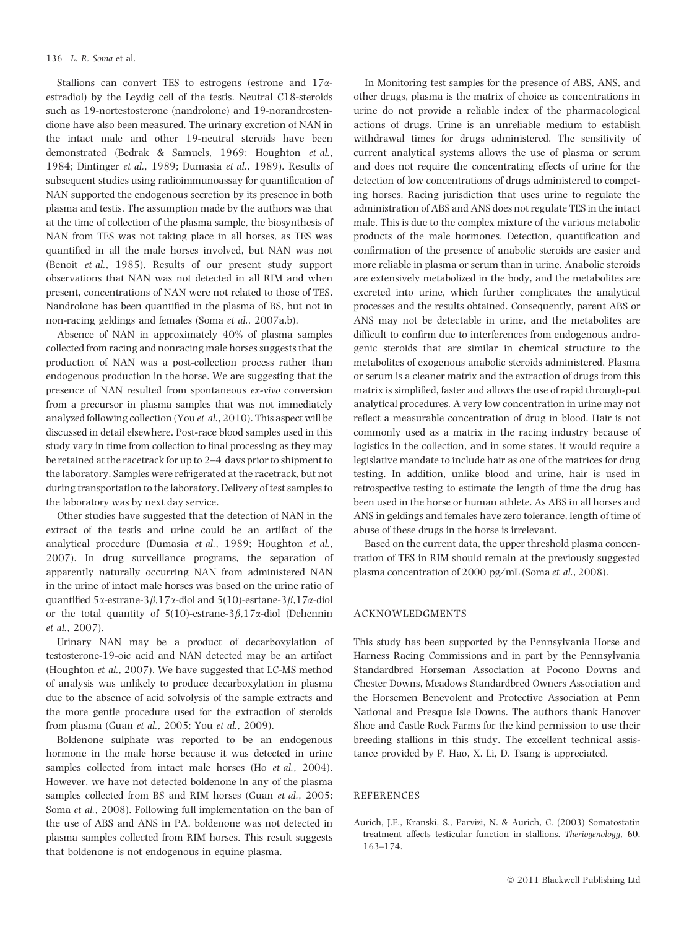Stallions can convert TES to estrogens (estrone and  $17\alpha$ estradiol) by the Leydig cell of the testis. Neutral C18-steroids such as 19-nortestosterone (nandrolone) and 19-norandrostendione have also been measured. The urinary excretion of NAN in the intact male and other 19-neutral steroids have been demonstrated (Bedrak & Samuels, 1969; Houghton et al., 1984; Dintinger et al., 1989; Dumasia et al., 1989). Results of subsequent studies using radioimmunoassay for quantification of NAN supported the endogenous secretion by its presence in both plasma and testis. The assumption made by the authors was that at the time of collection of the plasma sample, the biosynthesis of NAN from TES was not taking place in all horses, as TES was quantified in all the male horses involved, but NAN was not (Benoit et al., 1985). Results of our present study support observations that NAN was not detected in all RIM and when present, concentrations of NAN were not related to those of TES. Nandrolone has been quantified in the plasma of BS, but not in non-racing geldings and females (Soma et al., 2007a,b).

Absence of NAN in approximately 40% of plasma samples collected from racing and nonracing male horses suggests that the production of NAN was a post-collection process rather than endogenous production in the horse. We are suggesting that the presence of NAN resulted from spontaneous ex-vivo conversion from a precursor in plasma samples that was not immediately analyzed following collection (You et al., 2010). This aspect will be discussed in detail elsewhere. Post-race blood samples used in this study vary in time from collection to final processing as they may be retained at the racetrack for up to 2–4 days prior to shipment to the laboratory. Samples were refrigerated at the racetrack, but not during transportation to the laboratory. Delivery of test samples to the laboratory was by next day service.

Other studies have suggested that the detection of NAN in the extract of the testis and urine could be an artifact of the analytical procedure (Dumasia et al., 1989; Houghton et al., 2007). In drug surveillance programs, the separation of apparently naturally occurring NAN from administered NAN in the urine of intact male horses was based on the urine ratio of quantified 5 $\alpha$ -estrane-3 $\beta$ ,17 $\alpha$ -diol and 5(10)-esrtane-3 $\beta$ ,17 $\alpha$ -diol or the total quantity of  $5(10)$ -estrane-3 $\beta$ ,17 $\alpha$ -diol (Dehennin et al., 2007).

Urinary NAN may be a product of decarboxylation of testosterone-19-oic acid and NAN detected may be an artifact (Houghton et al., 2007). We have suggested that LC-MS method of analysis was unlikely to produce decarboxylation in plasma due to the absence of acid solvolysis of the sample extracts and the more gentle procedure used for the extraction of steroids from plasma (Guan et al., 2005; You et al., 2009).

Boldenone sulphate was reported to be an endogenous hormone in the male horse because it was detected in urine samples collected from intact male horses (Ho et al., 2004). However, we have not detected boldenone in any of the plasma samples collected from BS and RIM horses (Guan et al., 2005; Soma et al., 2008). Following full implementation on the ban of the use of ABS and ANS in PA, boldenone was not detected in plasma samples collected from RIM horses. This result suggests that boldenone is not endogenous in equine plasma.

In Monitoring test samples for the presence of ABS, ANS, and other drugs, plasma is the matrix of choice as concentrations in urine do not provide a reliable index of the pharmacological actions of drugs. Urine is an unreliable medium to establish withdrawal times for drugs administered. The sensitivity of current analytical systems allows the use of plasma or serum and does not require the concentrating effects of urine for the detection of low concentrations of drugs administered to competing horses. Racing jurisdiction that uses urine to regulate the administration of ABS and ANS does not regulate TES in the intact male. This is due to the complex mixture of the various metabolic products of the male hormones. Detection, quantification and confirmation of the presence of anabolic steroids are easier and more reliable in plasma or serum than in urine. Anabolic steroids are extensively metabolized in the body, and the metabolites are excreted into urine, which further complicates the analytical processes and the results obtained. Consequently, parent ABS or ANS may not be detectable in urine, and the metabolites are difficult to confirm due to interferences from endogenous androgenic steroids that are similar in chemical structure to the metabolites of exogenous anabolic steroids administered. Plasma or serum is a cleaner matrix and the extraction of drugs from this matrix is simplified, faster and allows the use of rapid through-put analytical procedures. A very low concentration in urine may not reflect a measurable concentration of drug in blood. Hair is not commonly used as a matrix in the racing industry because of logistics in the collection, and in some states, it would require a legislative mandate to include hair as one of the matrices for drug testing. In addition, unlike blood and urine, hair is used in retrospective testing to estimate the length of time the drug has been used in the horse or human athlete. As ABS in all horses and ANS in geldings and females have zero tolerance, length of time of abuse of these drugs in the horse is irrelevant.

Based on the current data, the upper threshold plasma concentration of TES in RIM should remain at the previously suggested plasma concentration of 2000 pg ⁄ mL (Soma et al., 2008).

#### ACKNOWLEDGMENTS

This study has been supported by the Pennsylvania Horse and Harness Racing Commissions and in part by the Pennsylvania Standardbred Horseman Association at Pocono Downs and Chester Downs, Meadows Standardbred Owners Association and the Horsemen Benevolent and Protective Association at Penn National and Presque Isle Downs. The authors thank Hanover Shoe and Castle Rock Farms for the kind permission to use their breeding stallions in this study. The excellent technical assistance provided by F. Hao, X. Li, D. Tsang is appreciated.

# **REFERENCES**

Aurich, J.E., Kranski, S., Parvizi, N. & Aurich, C. (2003) Somatostatin treatment affects testicular function in stallions. Theriogenology, 60, 163–174.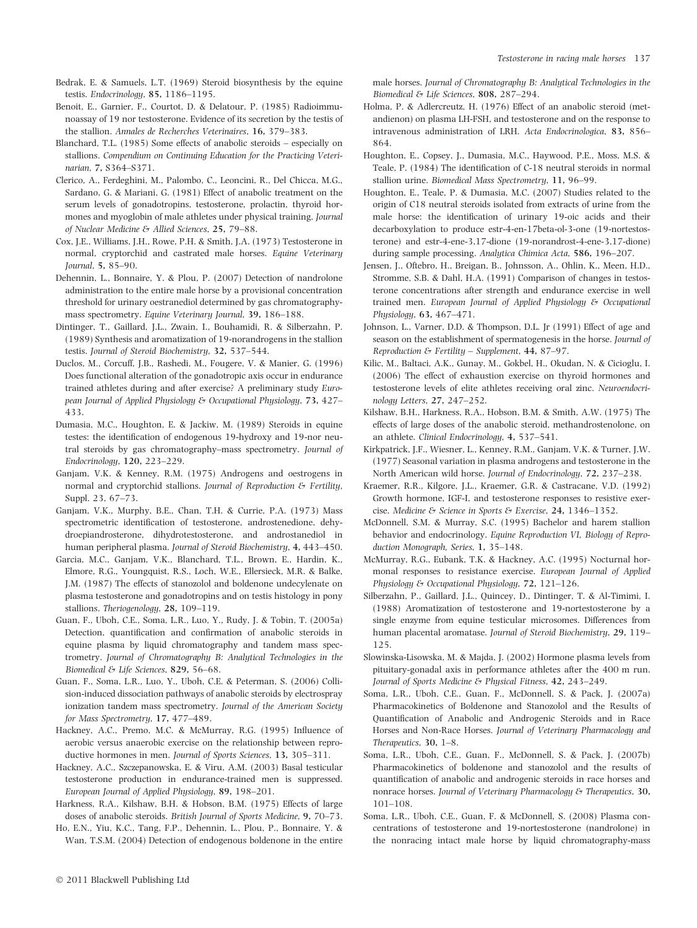- Bedrak, E. & Samuels, L.T. (1969) Steroid biosynthesis by the equine testis. Endocrinology, 85, 1186–1195.
- Benoit, E., Garnier, F., Courtot, D. & Delatour, P. (1985) Radioimmunoassay of 19 nor testosterone. Evidence of its secretion by the testis of the stallion. Annales de Recherches Veterinaires, 16, 379–383.
- Blanchard, T.L. (1985) Some effects of anabolic steroids especially on stallions. Compendium on Continuing Education for the Practicing Veterinarian, 7, S364–S371.
- Clerico, A., Ferdeghini, M., Palombo, C., Leoncini, R., Del Chicca, M.G., Sardano, G. & Mariani, G. (1981) Effect of anabolic treatment on the serum levels of gonadotropins, testosterone, prolactin, thyroid hormones and myoglobin of male athletes under physical training. Journal of Nuclear Medicine & Allied Sciences, 25, 79–88.
- Cox, J.E., Williams, J.H., Rowe, P.H. & Smith, J.A. (1973) Testosterone in normal, cryptorchid and castrated male horses. Equine Veterinary Journal, 5, 85–90.
- Dehennin, L., Bonnaire, Y. & Plou, P. (2007) Detection of nandrolone administration to the entire male horse by a provisional concentration threshold for urinary oestranediol determined by gas chromatographymass spectrometry. Equine Veterinary Journal, 39, 186–188.
- Dintinger, T., Gaillard, J.L., Zwain, I., Bouhamidi, R. & Silberzahn, P. (1989) Synthesis and aromatization of 19-norandrogens in the stallion testis. Journal of Steroid Biochemistry, 32, 537–544.
- Duclos, M., Corcuff, J.B., Rashedi, M., Fougere, V. & Manier, G. (1996) Does functional alteration of the gonadotropic axis occur in endurance trained athletes during and after exercise? A preliminary study European Journal of Applied Physiology & Occupational Physiology, 73, 427– 433.
- Dumasia, M.C., Houghton, E. & Jackiw, M. (1989) Steroids in equine testes: the identification of endogenous 19-hydroxy and 19-nor neutral steroids by gas chromatography–mass spectrometry. Journal of Endocrinology, 120, 223–229.
- Ganjam, V.K. & Kenney, R.M. (1975) Androgens and oestrogens in normal and cryptorchid stallions. Journal of Reproduction  $\mathcal E$  Fertility, Suppl. 23, 67–73.
- Ganjam, V.K., Murphy, B.E., Chan, T.H. & Currie, P.A. (1973) Mass spectrometric identification of testosterone, androstenedione, dehydroepiandrosterone, dihydrotestosterone, and androstanediol in human peripheral plasma. Journal of Steroid Biochemistry, 4, 443–450.
- Garcia, M.C., Ganjam, V.K., Blanchard, T.L., Brown, E., Hardin, K., Elmore, R.G., Youngquist, R.S., Loch, W.E., Ellersieck, M.R. & Balke, J.M. (1987) The effects of stanozolol and boldenone undecylenate on plasma testosterone and gonadotropins and on testis histology in pony stallions. Theriogenology, 28, 109–119.
- Guan, F., Uboh, C.E., Soma, L.R., Luo, Y., Rudy, J. & Tobin, T. (2005a) Detection, quantification and confirmation of anabolic steroids in equine plasma by liquid chromatography and tandem mass spectrometry. Journal of Chromatography B: Analytical Technologies in the Biomedical & Life Sciences, 829, 56–68.
- Guan, F., Soma, L.R., Luo, Y., Uboh, C.E. & Peterman, S. (2006) Collision-induced dissociation pathways of anabolic steroids by electrospray ionization tandem mass spectrometry. Journal of the American Society for Mass Spectrometry, 17, 477–489.
- Hackney, A.C., Premo, M.C. & McMurray, R.G. (1995) Influence of aerobic versus anaerobic exercise on the relationship between reproductive hormones in men. Journal of Sports Sciences, 13, 305–311.
- Hackney, A.C., Szczepanowska, E. & Viru, A.M. (2003) Basal testicular testosterone production in endurance-trained men is suppressed. European Journal of Applied Physiology, 89, 198–201.
- Harkness, R.A., Kilshaw, B.H. & Hobson, B.M. (1975) Effects of large doses of anabolic steroids. British Journal of Sports Medicine, 9, 70–73.
- Ho, E.N., Yiu, K.C., Tang, F.P., Dehennin, L., Plou, P., Bonnaire, Y. & Wan, T.S.M. (2004) Detection of endogenous boldenone in the entire

male horses. Journal of Chromatography B: Analytical Technologies in the Biomedical & Life Sciences, 808, 287–294.

- Holma, P. & Adlercreutz, H. (1976) Effect of an anabolic steroid (metandienon) on plasma LH-FSH, and testosterone and on the response to intravenous administration of LRH. Acta Endocrinologica, 83, 856– 864.
- Houghton, E., Copsey, J., Dumasia, M.C., Haywood, P.E., Moss, M.S. & Teale, P. (1984) The identification of C-18 neutral steroids in normal stallion urine. Biomedical Mass Spectrometry, 11, 96–99.
- Houghton, E., Teale, P. & Dumasia, M.C. (2007) Studies related to the origin of C18 neutral steroids isolated from extracts of urine from the male horse: the identification of urinary 19-oic acids and their decarboxylation to produce estr-4-en-17beta-ol-3-one (19-nortestosterone) and estr-4-ene-3,17-dione (19-norandrost-4-ene-3,17-dione) during sample processing. Analytica Chimica Acta, 586, 196–207.
- Jensen, J., Oftebro, H., Breigan, B., Johnsson, A., Ohlin, K., Meen, H.D., Stromme, S.B. & Dahl, H.A. (1991) Comparison of changes in testosterone concentrations after strength and endurance exercise in well trained men. European Journal of Applied Physiology & Occupational Physiology, 63, 467-471.
- Johnson, L., Varner, D.D. & Thompson, D.L. Jr (1991) Effect of age and season on the establishment of spermatogenesis in the horse. Journal of Reproduction & Fertility – Supplement, 44, 87–97.
- Kilic, M., Baltaci, A.K., Gunay, M., Gokbel, H., Okudan, N. & Cicioglu, I. (2006) The effect of exhaustion exercise on thyroid hormones and testosterone levels of elite athletes receiving oral zinc. Neuroendocrinology Letters, 27, 247–252.
- Kilshaw, B.H., Harkness, R.A., Hobson, B.M. & Smith, A.W. (1975) The effects of large doses of the anabolic steroid, methandrostenolone, on an athlete. Clinical Endocrinology, 4, 537–541.
- Kirkpatrick, J.F., Wiesner, L., Kenney, R.M., Ganjam, V.K. & Turner, J.W. (1977) Seasonal variation in plasma androgens and testosterone in the North American wild horse. Journal of Endocrinology, 72, 237–238.
- Kraemer, R.R., Kilgore, J.L., Kraemer, G.R. & Castracane, V.D. (1992) Growth hormone, IGF-I, and testosterone responses to resistive exercise. Medicine & Science in Sports & Exercise, 24, 1346–1352.
- McDonnell, S.M. & Murray, S.C. (1995) Bachelor and harem stallion behavior and endocrinology. Equine Reproduction VI, Biology of Reproduction Monograph, Series, 1, 35–148.
- McMurray, R.G., Eubank, T.K. & Hackney, A.C. (1995) Nocturnal hormonal responses to resistance exercise. European Journal of Applied Physiology & Occupational Physiology, 72, 121–126.
- Silberzahn, P., Gaillard, J.L., Quincey, D., Dintinger, T. & Al-Timimi, I. (1988) Aromatization of testosterone and 19-nortestosterone by a single enzyme from equine testicular microsomes. Differences from human placental aromatase. Journal of Steroid Biochemistry, 29, 119– 125.
- Slowinska-Lisowska, M. & Majda, J. (2002) Hormone plasma levels from pituitary-gonadal axis in performance athletes after the 400 m run. Journal of Sports Medicine & Physical Fitness, 42, 243–249.
- Soma, L.R., Uboh, C.E., Guan, F., McDonnell, S. & Pack, J. (2007a) Pharmacokinetics of Boldenone and Stanozolol and the Results of Quantification of Anabolic and Androgenic Steroids and in Race Horses and Non-Race Horses. Journal of Veterinary Pharmacology and Therapeutics, 30, 1–8.
- Soma, L.R., Uboh, C.E., Guan, F., McDonnell, S. & Pack, J. (2007b) Pharmacokinetics of boldenone and stanozolol and the results of quantification of anabolic and androgenic steroids in race horses and nonrace horses. Journal of Veterinary Pharmacology & Therapeutics, 30, 101–108.
- Soma, L.R., Uboh, C.E., Guan, F. & McDonnell, S. (2008) Plasma concentrations of testosterone and 19-nortestosterone (nandrolone) in the nonracing intact male horse by liquid chromatography-mass